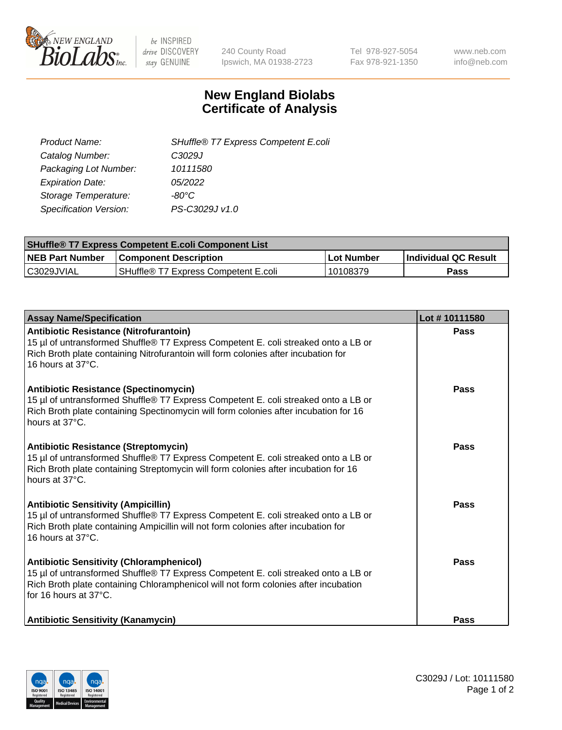

 $be$  INSPIRED drive DISCOVERY stay GENUINE

240 County Road Ipswich, MA 01938-2723 Tel 978-927-5054 Fax 978-921-1350 www.neb.com info@neb.com

## **New England Biolabs Certificate of Analysis**

| SHuffle® T7 Express Competent E.coli |
|--------------------------------------|
| C3029J                               |
| 10111580                             |
| 05/2022                              |
| -80°C.                               |
| PS-C3029J v1.0                       |
|                                      |

| <b>SHuffle<sup>®</sup> T7 Express Competent E.coli Component List</b> |                                      |            |                             |  |
|-----------------------------------------------------------------------|--------------------------------------|------------|-----------------------------|--|
| <b>NEB Part Number</b>                                                | <b>Component Description</b>         | Lot Number | <b>Individual QC Result</b> |  |
| C3029JVIAL                                                            | SHuffle® T7 Express Competent E.coli | 10108379   | Pass                        |  |

| <b>Assay Name/Specification</b>                                                                                                                                                                                                                       | Lot #10111580 |
|-------------------------------------------------------------------------------------------------------------------------------------------------------------------------------------------------------------------------------------------------------|---------------|
| Antibiotic Resistance (Nitrofurantoin)<br>15 µl of untransformed Shuffle® T7 Express Competent E. coli streaked onto a LB or<br>Rich Broth plate containing Nitrofurantoin will form colonies after incubation for<br>16 hours at 37°C.               | Pass          |
| Antibiotic Resistance (Spectinomycin)<br>15 µl of untransformed Shuffle® T7 Express Competent E. coli streaked onto a LB or<br>Rich Broth plate containing Spectinomycin will form colonies after incubation for 16<br>hours at 37°C.                 | Pass          |
| Antibiotic Resistance (Streptomycin)<br>15 µl of untransformed Shuffle® T7 Express Competent E. coli streaked onto a LB or<br>Rich Broth plate containing Streptomycin will form colonies after incubation for 16<br>hours at 37°C.                   | Pass          |
| <b>Antibiotic Sensitivity (Ampicillin)</b><br>15 µl of untransformed Shuffle® T7 Express Competent E. coli streaked onto a LB or<br>Rich Broth plate containing Ampicillin will not form colonies after incubation for<br>16 hours at 37°C.           | Pass          |
| <b>Antibiotic Sensitivity (Chloramphenicol)</b><br>15 µl of untransformed Shuffle® T7 Express Competent E. coli streaked onto a LB or<br>Rich Broth plate containing Chloramphenicol will not form colonies after incubation<br>for 16 hours at 37°C. | Pass          |
| <b>Antibiotic Sensitivity (Kanamycin)</b>                                                                                                                                                                                                             | <b>Pass</b>   |